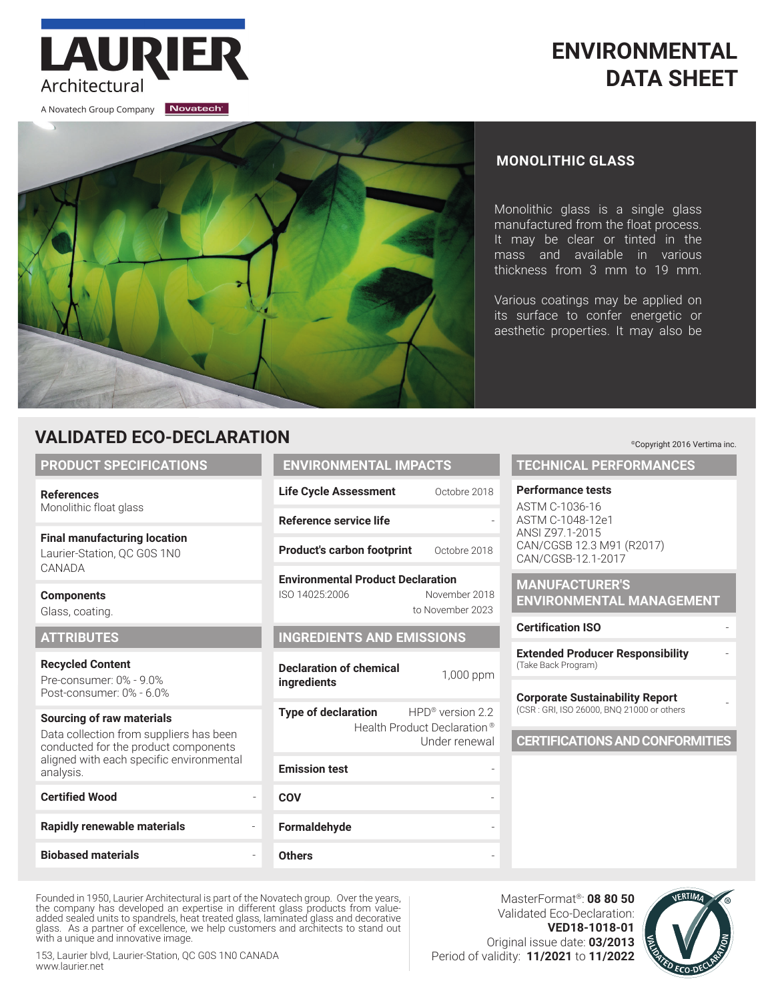# **ENVIRONMENTAL DATA SHEET**

A Novatech Group Company Novatech

Architectural

LAURIE



### **MONOLITHIC GLASS**

Monolithic glass is a single glass manufactured from the float process. It may be clear or tinted in the mass and available in various thickness from 3 mm to 19 mm.

Various coatings may be applied on its surface to confer energetic or aesthetic properties. It may also be

## **VALIDATED ECO-DECLARATION**

#### **PRODUCT SPECIFICATIONS**

**References** Monolithic float glass

**Final manufacturing location** Laurier-Station, QC G0S 1N0 CANADA

**Components**  Glass, coating.

#### **ATTRIBUTES**

**Recycled Content** Pre-consumer: 0% - 9.0% Post-consumer: 0% - 6.0%

#### **Sourcing of raw materials**

Data collection from suppliers has been conducted for the product components aligned with each specific environmental analysis.

## **Certified Wood Rapidly renewable materials** -

**Biobased materials** -

# **ENVIRONMENTAL IMPACTS**

| <b>Life Cycle Assessment</b> | Octobre 2018 |
|------------------------------|--------------|
| Reference service life       |              |

**Product's carbon footprint** Octobre 2018

**Environmental Product Declaration** ISO 14025:2006 November 2018 to November 2023

### **INGREDIENTS AND EMISSIONS**

**Declaration of chemical ingredients intermital 1**,000 ppm

**Type of declaration** HPD<sup>®</sup> version 2.2 Health Product Declaration ® Under renewal

| <b>Emission test</b> |  |
|----------------------|--|
| <b>COV</b>           |  |
| Formaldehyde         |  |
| <b>Others</b>        |  |

©Copyright 2016 Vertima inc.

### **TECHNICAL PERFORMANCES**

#### **Performance tests**

ASTM C-1036-16 ASTM C-1048-12e1 ANSI Z97.1-2015 CAN/CGSB 12.3 M91 (R2017) CAN/CGSB-12.1-2017

**MANUFACTURER'S ENVIRONMENTAL MANAGEMENT**

#### **Certification ISO** -

**Extended Producer Responsibility** - (Take Back Program)

#### **Corporate Sustainability Report** (CSR : GRI, ISO 26000, BNQ 21000 or others -

**CERTIFICATIONS AND CONFORMITIES**

Founded in 1950, Laurier Architectural is part of the Novatech group. Over the years, the company has developed an expertise in different glass products from valueadded sealed units to spandrels, heat treated glass, laminated glass and decorative glass. As a partner of excellence, we help customers and architects to stand out with a unique and innovative image.

153, Laurier blvd, Laurier-Station, QC G0S 1N0 CANADA www.laurier.net

MasterFormat®: **08 80 50** Validated Eco-Declaration: **VED18-1018-01** Original issue date: **03/2013** Period of validity: **11/2021** to **11/2022**